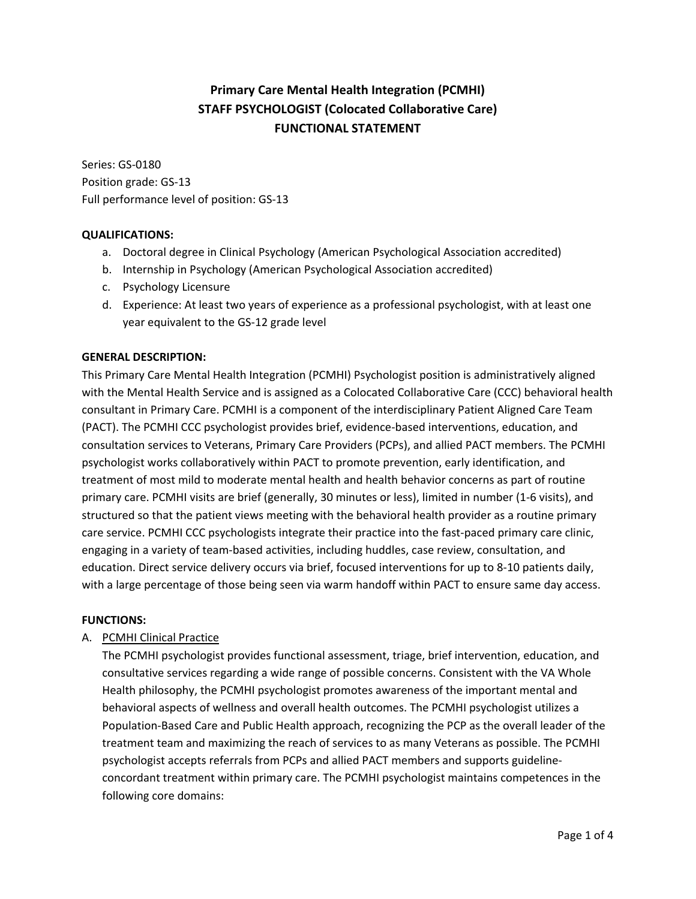# **Primary Care Mental Health Integration (PCMHI) STAFF PSYCHOLOGIST (Colocated Collaborative Care) FUNCTIONAL STATEMENT**

Series: GS-0180 Position grade: GS-13 Full performance level of position: GS-13

## **QUALIFICATIONS:**

- a. Doctoral degree in Clinical Psychology (American Psychological Association accredited)
- b. Internship in Psychology (American Psychological Association accredited)
- c. Psychology Licensure
- d. Experience: At least two years of experience as a professional psychologist, with at least one year equivalent to the GS-12 grade level

## **GENERAL DESCRIPTION:**

This Primary Care Mental Health Integration (PCMHI) Psychologist position is administratively aligned with the Mental Health Service and is assigned as a Colocated Collaborative Care (CCC) behavioral health consultant in Primary Care. PCMHI is a component of the interdisciplinary Patient Aligned Care Team (PACT). The PCMHI CCC psychologist provides brief, evidence-based interventions, education, and consultation services to Veterans, Primary Care Providers (PCPs), and allied PACT members. The PCMHI psychologist works collaboratively within PACT to promote prevention, early identification, and treatment of most mild to moderate mental health and health behavior concerns as part of routine primary care. PCMHI visits are brief (generally, 30 minutes or less), limited in number (1-6 visits), and structured so that the patient views meeting with the behavioral health provider as a routine primary care service. PCMHI CCC psychologists integrate their practice into the fast-paced primary care clinic, engaging in a variety of team-based activities, including huddles, case review, consultation, and education. Direct service delivery occurs via brief, focused interventions for up to 8-10 patients daily, with a large percentage of those being seen via warm handoff within PACT to ensure same day access.

## **FUNCTIONS:**

## A. PCMHI Clinical Practice

The PCMHI psychologist provides functional assessment, triage, brief intervention, education, and consultative services regarding a wide range of possible concerns. Consistent with the VA Whole Health philosophy, the PCMHI psychologist promotes awareness of the important mental and behavioral aspects of wellness and overall health outcomes. The PCMHI psychologist utilizes a Population-Based Care and Public Health approach, recognizing the PCP as the overall leader of the treatment team and maximizing the reach of services to as many Veterans as possible. The PCMHI psychologist accepts referrals from PCPs and allied PACT members and supports guidelineconcordant treatment within primary care. The PCMHI psychologist maintains competences in the following core domains: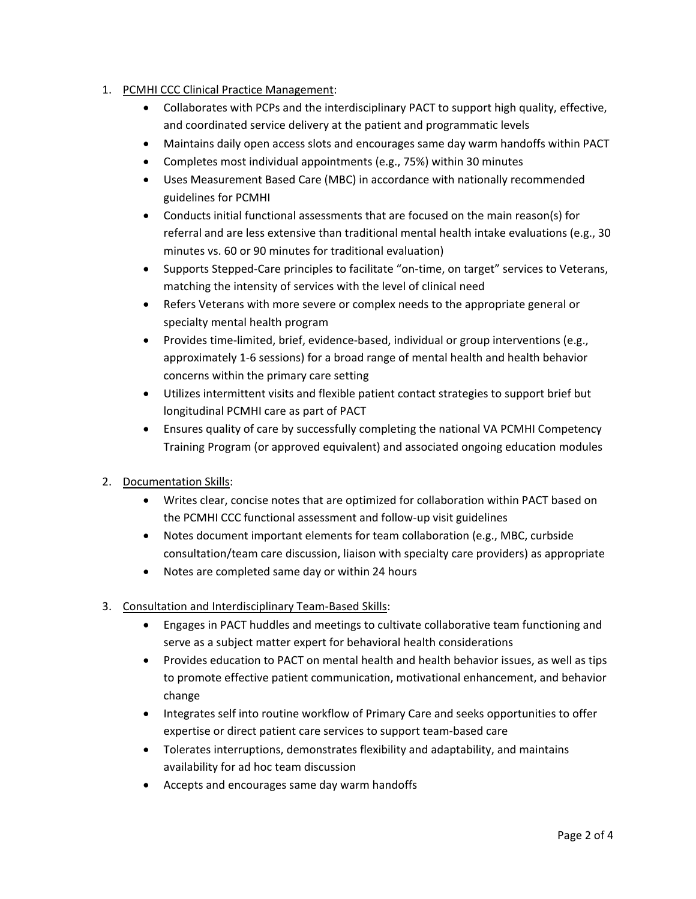- 1. PCMHI CCC Clinical Practice Management:
	- Collaborates with PCPs and the interdisciplinary PACT to support high quality, effective, and coordinated service delivery at the patient and programmatic levels
	- Maintains daily open access slots and encourages same day warm handoffs within PACT
	- Completes most individual appointments (e.g., 75%) within 30 minutes
	- Uses Measurement Based Care (MBC) in accordance with nationally recommended guidelines for PCMHI
	- Conducts initial functional assessments that are focused on the main reason(s) for referral and are less extensive than traditional mental health intake evaluations (e.g., 30 minutes vs. 60 or 90 minutes for traditional evaluation)
	- Supports Stepped-Care principles to facilitate "on-time, on target" services to Veterans, matching the intensity of services with the level of clinical need
	- Refers Veterans with more severe or complex needs to the appropriate general or specialty mental health program
	- Provides time-limited, brief, evidence-based, individual or group interventions (e.g., approximately 1-6 sessions) for a broad range of mental health and health behavior concerns within the primary care setting
	- Utilizes intermittent visits and flexible patient contact strategies to support brief but longitudinal PCMHI care as part of PACT
	- Ensures quality of care by successfully completing the national VA PCMHI Competency Training Program (or approved equivalent) and associated ongoing education modules
- 2. Documentation Skills:
	- Writes clear, concise notes that are optimized for collaboration within PACT based on the PCMHI CCC functional assessment and follow-up visit guidelines
	- Notes document important elements for team collaboration (e.g., MBC, curbside consultation/team care discussion, liaison with specialty care providers) as appropriate
	- Notes are completed same day or within 24 hours
- 3. Consultation and Interdisciplinary Team-Based Skills:
	- Engages in PACT huddles and meetings to cultivate collaborative team functioning and serve as a subject matter expert for behavioral health considerations
	- Provides education to PACT on mental health and health behavior issues, as well as tips to promote effective patient communication, motivational enhancement, and behavior change
	- Integrates self into routine workflow of Primary Care and seeks opportunities to offer expertise or direct patient care services to support team-based care
	- Tolerates interruptions, demonstrates flexibility and adaptability, and maintains availability for ad hoc team discussion
	- Accepts and encourages same day warm handoffs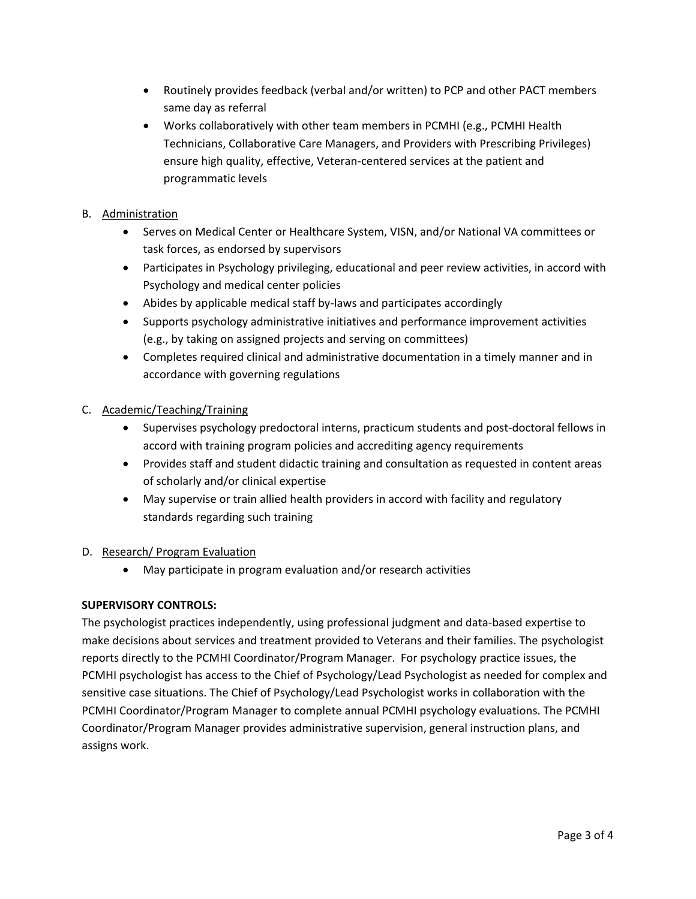- Routinely provides feedback (verbal and/or written) to PCP and other PACT members same day as referral
- Works collaboratively with other team members in PCMHI (e.g., PCMHI Health Technicians, Collaborative Care Managers, and Providers with Prescribing Privileges) ensure high quality, effective, Veteran-centered services at the patient and programmatic levels

# B. Administration

- Serves on Medical Center or Healthcare System, VISN, and/or National VA committees or task forces, as endorsed by supervisors
- Participates in Psychology privileging, educational and peer review activities, in accord with Psychology and medical center policies
- Abides by applicable medical staff by-laws and participates accordingly
- Supports psychology administrative initiatives and performance improvement activities (e.g., by taking on assigned projects and serving on committees)
- Completes required clinical and administrative documentation in a timely manner and in accordance with governing regulations

## C. Academic/Teaching/Training

- Supervises psychology predoctoral interns, practicum students and post-doctoral fellows in accord with training program policies and accrediting agency requirements
- Provides staff and student didactic training and consultation as requested in content areas of scholarly and/or clinical expertise
- May supervise or train allied health providers in accord with facility and regulatory standards regarding such training

## D. Research/ Program Evaluation

• May participate in program evaluation and/or research activities

## **SUPERVISORY CONTROLS:**

The psychologist practices independently, using professional judgment and data-based expertise to make decisions about services and treatment provided to Veterans and their families. The psychologist reports directly to the PCMHI Coordinator/Program Manager. For psychology practice issues, the PCMHI psychologist has access to the Chief of Psychology/Lead Psychologist as needed for complex and sensitive case situations. The Chief of Psychology/Lead Psychologist works in collaboration with the PCMHI Coordinator/Program Manager to complete annual PCMHI psychology evaluations. The PCMHI Coordinator/Program Manager provides administrative supervision, general instruction plans, and assigns work.